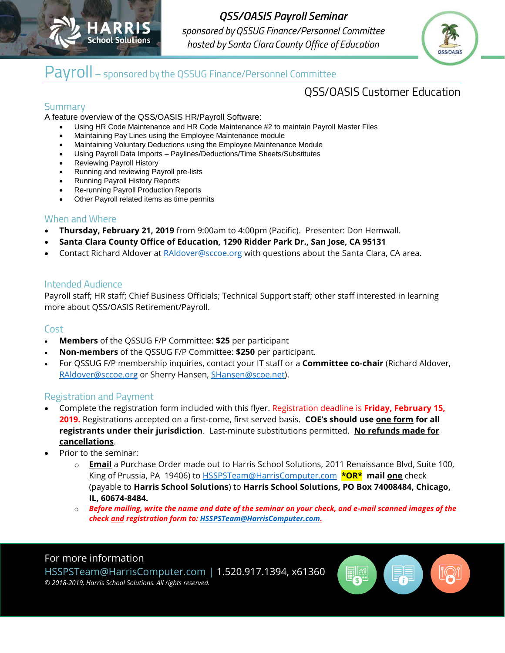

**QSS/OASIS Payroll Seminar** sponsored by QSSUG Finance/Personnel Committee hosted by Santa Clara County Office of Education



## Payroll - sponsored by the QSSUG Finance/Personnel Committee

### **QSS/OASIS Customer Education**

#### Summary

A feature overview of the QSS/OASIS HR/Payroll Software:

- Using HR Code Maintenance and HR Code Maintenance #2 to maintain Payroll Master Files
- Maintaining Pay Lines using the Employee Maintenance module
- Maintaining Voluntary Deductions using the Employee Maintenance Module
- Using Payroll Data Imports Paylines/Deductions/Time Sheets/Substitutes
- Reviewing Payroll History
- Running and reviewing Payroll pre-lists
- Running Payroll History Reports
- Re-running Payroll Production Reports
- Other Payroll related items as time permits

#### When and Where

- **Thursday, February 21, 2019** from 9:00am to 4:00pm (Pacific). Presenter: Don Hemwall.
- **Santa Clara County Office of Education, 1290 Ridder Park Dr., San Jose, CA 95131**
- Contact Richard Aldover at [RAldover@sccoe.org](mailto:RAldover@sccoe.org) with questions about the Santa Clara, CA area.

#### **Intended Audience**

Payroll staff; HR staff; Chief Business Officials; Technical Support staff; other staff interested in learning more about QSS/OASIS Retirement/Payroll.

#### Cost

- **Members** of the QSSUG F/P Committee: **\$25** per participant
- **Non-members** of the QSSUG F/P Committee: **\$250** per participant.
- For QSSUG F/P membership inquiries, contact your IT staff or a **Committee co-chair** (Richard Aldover, [RAldover@sccoe.org](mailto:RAldover@sccoe.org) or Sherry Hansen, [SHansen@scoe.net\)](mailto:SHansen@scoe.net).

#### **Registration and Payment**

- Complete the registration form included with this flyer. Registration deadline is **Friday, February 15, 2019.** Registrations accepted on a first-come, first served basis. **COE's should use one form for all registrants under their jurisdiction**. Last-minute substitutions permitted. **No refunds made for cancellations**.
- Prior to the seminar:
	- o **Email** a Purchase Order made out to Harris School Solutions, 2011 Renaissance Blvd, Suite 100, King of Prussia, PA 19406) to HSSPSTeam@HarrisComputer.com **\*OR\* mail one** check (payable to **Harris School Solutions**) to **Harris School Solutions, PO Box 74008484, Chicago, IL, 60674-8484.**
	- o *Before mailing, write the name and date of the seminar on your check, and e-mail scanned images of the check and registration form to[: HSSPSTeam@HarrisComputer.com.](mailto:HSSPSTeam@HarrisComputer.com)*

#### For more information

HSSPSTeam@HarrisComputer.com | 1.520.917.1394, x61360 *© 2018-2019, Harris School Solutions. All rights reserved.*